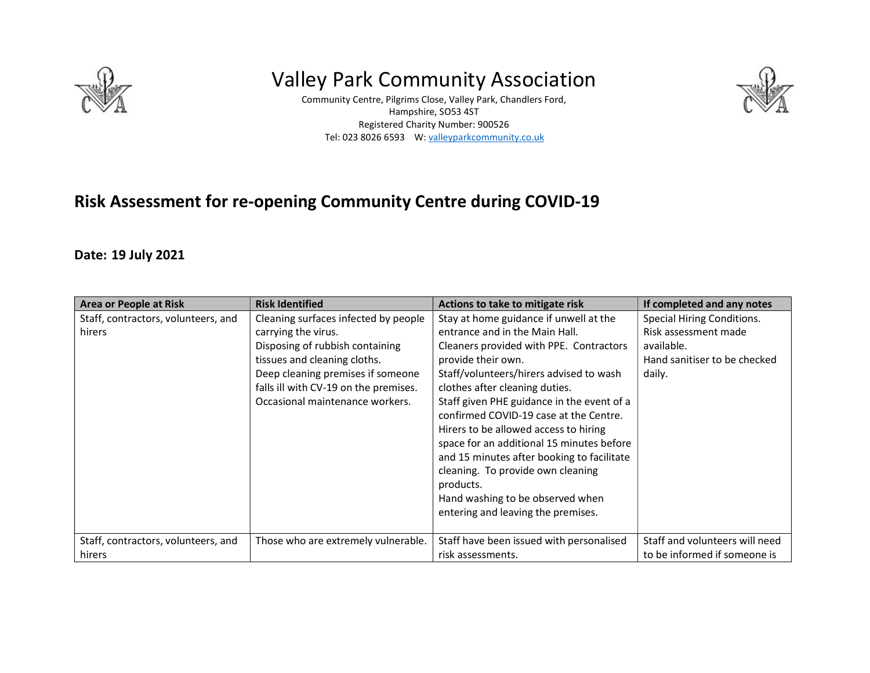

# Valley Park Community Association

Community Centre, Pilgrims Close, Valley Park, Chandlers Ford, Hampshire, SO53 4ST Registered Charity Number: 900526 Tel: 023 8026 6593 W: valleyparkcommunity.co.uk



## Risk Assessment for re-opening Community Centre during COVID-19

#### Date: 19 July 2021

| <b>Area or People at Risk</b>                 | <b>Risk Identified</b>                                                                                                                                                                                                                          | Actions to take to mitigate risk                                                                                                                                                                                                                                                                                                                                                                                                                                                                                                                                               | If completed and any notes                                                                                        |
|-----------------------------------------------|-------------------------------------------------------------------------------------------------------------------------------------------------------------------------------------------------------------------------------------------------|--------------------------------------------------------------------------------------------------------------------------------------------------------------------------------------------------------------------------------------------------------------------------------------------------------------------------------------------------------------------------------------------------------------------------------------------------------------------------------------------------------------------------------------------------------------------------------|-------------------------------------------------------------------------------------------------------------------|
| Staff, contractors, volunteers, and<br>hirers | Cleaning surfaces infected by people<br>carrying the virus.<br>Disposing of rubbish containing<br>tissues and cleaning cloths.<br>Deep cleaning premises if someone<br>falls ill with CV-19 on the premises.<br>Occasional maintenance workers. | Stay at home guidance if unwell at the<br>entrance and in the Main Hall.<br>Cleaners provided with PPE. Contractors<br>provide their own.<br>Staff/volunteers/hirers advised to wash<br>clothes after cleaning duties.<br>Staff given PHE guidance in the event of a<br>confirmed COVID-19 case at the Centre.<br>Hirers to be allowed access to hiring<br>space for an additional 15 minutes before<br>and 15 minutes after booking to facilitate<br>cleaning. To provide own cleaning<br>products.<br>Hand washing to be observed when<br>entering and leaving the premises. | <b>Special Hiring Conditions.</b><br>Risk assessment made<br>available.<br>Hand sanitiser to be checked<br>daily. |
| Staff, contractors, volunteers, and<br>hirers | Those who are extremely vulnerable.                                                                                                                                                                                                             | Staff have been issued with personalised<br>risk assessments.                                                                                                                                                                                                                                                                                                                                                                                                                                                                                                                  | Staff and volunteers will need<br>to be informed if someone is                                                    |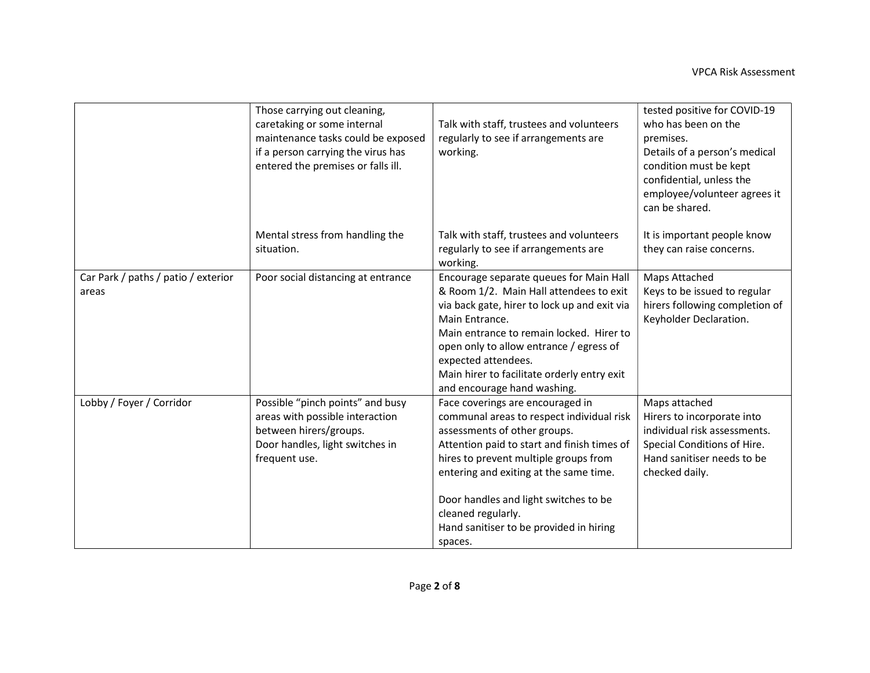|                                              | Those carrying out cleaning,<br>caretaking or some internal<br>maintenance tasks could be exposed<br>if a person carrying the virus has<br>entered the premises or falls ill. | Talk with staff, trustees and volunteers<br>regularly to see if arrangements are<br>working.                                                                                                                                                                                                                                                                         | tested positive for COVID-19<br>who has been on the<br>premises.<br>Details of a person's medical<br>condition must be kept                                |
|----------------------------------------------|-------------------------------------------------------------------------------------------------------------------------------------------------------------------------------|----------------------------------------------------------------------------------------------------------------------------------------------------------------------------------------------------------------------------------------------------------------------------------------------------------------------------------------------------------------------|------------------------------------------------------------------------------------------------------------------------------------------------------------|
|                                              |                                                                                                                                                                               |                                                                                                                                                                                                                                                                                                                                                                      | confidential, unless the<br>employee/volunteer agrees it<br>can be shared.                                                                                 |
|                                              | Mental stress from handling the<br>situation.                                                                                                                                 | Talk with staff, trustees and volunteers<br>regularly to see if arrangements are<br>working.                                                                                                                                                                                                                                                                         | It is important people know<br>they can raise concerns.                                                                                                    |
| Car Park / paths / patio / exterior<br>areas | Poor social distancing at entrance                                                                                                                                            | Encourage separate queues for Main Hall<br>& Room 1/2. Main Hall attendees to exit<br>via back gate, hirer to lock up and exit via<br>Main Entrance.<br>Main entrance to remain locked. Hirer to<br>open only to allow entrance / egress of<br>expected attendees.<br>Main hirer to facilitate orderly entry exit<br>and encourage hand washing.                     | Maps Attached<br>Keys to be issued to regular<br>hirers following completion of<br>Keyholder Declaration.                                                  |
| Lobby / Foyer / Corridor                     | Possible "pinch points" and busy<br>areas with possible interaction<br>between hirers/groups.<br>Door handles, light switches in<br>frequent use.                             | Face coverings are encouraged in<br>communal areas to respect individual risk<br>assessments of other groups.<br>Attention paid to start and finish times of<br>hires to prevent multiple groups from<br>entering and exiting at the same time.<br>Door handles and light switches to be<br>cleaned regularly.<br>Hand sanitiser to be provided in hiring<br>spaces. | Maps attached<br>Hirers to incorporate into<br>individual risk assessments.<br>Special Conditions of Hire.<br>Hand sanitiser needs to be<br>checked daily. |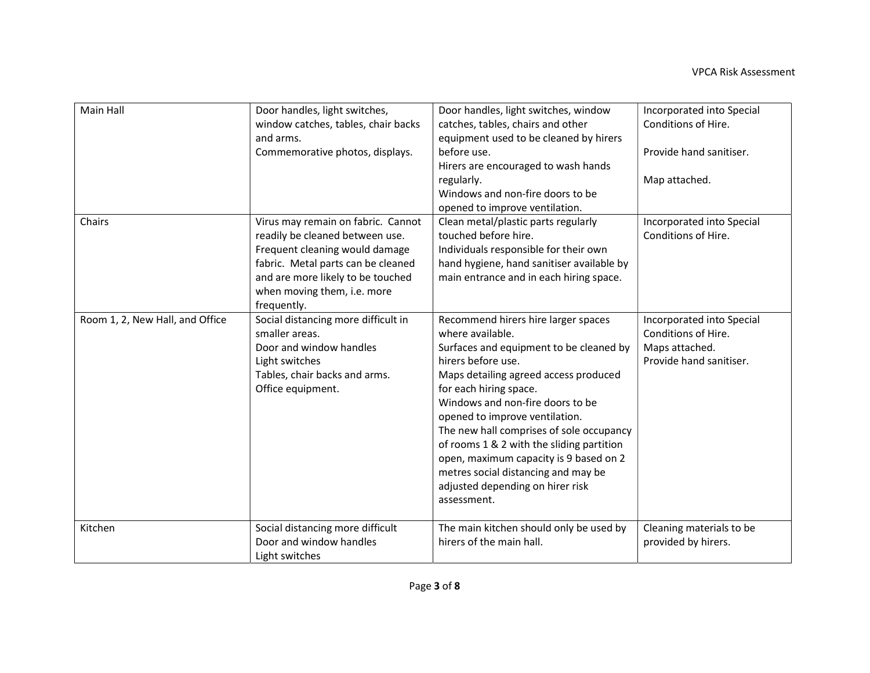| Main Hall                       | Door handles, light switches,<br>window catches, tables, chair backs<br>and arms.<br>Commemorative photos, displays.                                                                                                             | Door handles, light switches, window<br>catches, tables, chairs and other<br>equipment used to be cleaned by hirers<br>before use.<br>Hirers are encouraged to wash hands<br>regularly.<br>Windows and non-fire doors to be<br>opened to improve ventilation.                                                                                                                                                                                                                                  | Incorporated into Special<br>Conditions of Hire.<br>Provide hand sanitiser.<br>Map attached.  |
|---------------------------------|----------------------------------------------------------------------------------------------------------------------------------------------------------------------------------------------------------------------------------|------------------------------------------------------------------------------------------------------------------------------------------------------------------------------------------------------------------------------------------------------------------------------------------------------------------------------------------------------------------------------------------------------------------------------------------------------------------------------------------------|-----------------------------------------------------------------------------------------------|
| Chairs                          | Virus may remain on fabric. Cannot<br>readily be cleaned between use.<br>Frequent cleaning would damage<br>fabric. Metal parts can be cleaned<br>and are more likely to be touched<br>when moving them, i.e. more<br>frequently. | Clean metal/plastic parts regularly<br>touched before hire.<br>Individuals responsible for their own<br>hand hygiene, hand sanitiser available by<br>main entrance and in each hiring space.                                                                                                                                                                                                                                                                                                   | Incorporated into Special<br>Conditions of Hire.                                              |
| Room 1, 2, New Hall, and Office | Social distancing more difficult in<br>smaller areas.<br>Door and window handles<br>Light switches<br>Tables, chair backs and arms.<br>Office equipment.                                                                         | Recommend hirers hire larger spaces<br>where available.<br>Surfaces and equipment to be cleaned by<br>hirers before use.<br>Maps detailing agreed access produced<br>for each hiring space.<br>Windows and non-fire doors to be<br>opened to improve ventilation.<br>The new hall comprises of sole occupancy<br>of rooms 1 & 2 with the sliding partition<br>open, maximum capacity is 9 based on 2<br>metres social distancing and may be<br>adjusted depending on hirer risk<br>assessment. | Incorporated into Special<br>Conditions of Hire.<br>Maps attached.<br>Provide hand sanitiser. |
| Kitchen                         | Social distancing more difficult<br>Door and window handles<br>Light switches                                                                                                                                                    | The main kitchen should only be used by<br>hirers of the main hall.                                                                                                                                                                                                                                                                                                                                                                                                                            | Cleaning materials to be<br>provided by hirers.                                               |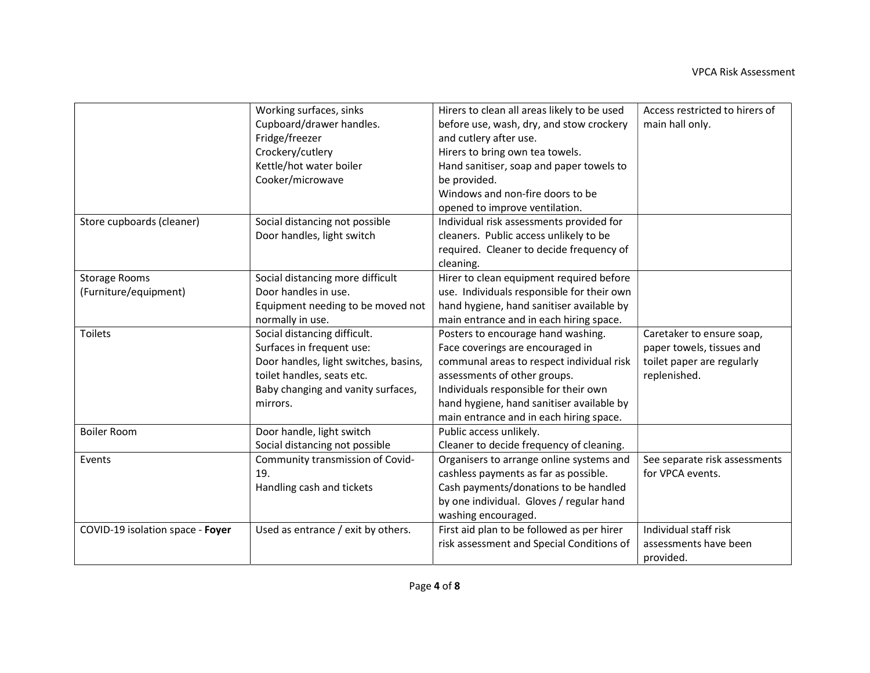|                                  | Working surfaces, sinks               | Hirers to clean all areas likely to be used | Access restricted to hirers of |
|----------------------------------|---------------------------------------|---------------------------------------------|--------------------------------|
|                                  | Cupboard/drawer handles.              | before use, wash, dry, and stow crockery    | main hall only.                |
|                                  | Fridge/freezer                        | and cutlery after use.                      |                                |
|                                  | Crockery/cutlery                      | Hirers to bring own tea towels.             |                                |
|                                  | Kettle/hot water boiler               | Hand sanitiser, soap and paper towels to    |                                |
|                                  | Cooker/microwave                      | be provided.                                |                                |
|                                  |                                       | Windows and non-fire doors to be            |                                |
|                                  |                                       | opened to improve ventilation.              |                                |
| Store cupboards (cleaner)        | Social distancing not possible        | Individual risk assessments provided for    |                                |
|                                  | Door handles, light switch            | cleaners. Public access unlikely to be      |                                |
|                                  |                                       | required. Cleaner to decide frequency of    |                                |
|                                  |                                       | cleaning.                                   |                                |
| <b>Storage Rooms</b>             | Social distancing more difficult      | Hirer to clean equipment required before    |                                |
| (Furniture/equipment)            | Door handles in use.                  | use. Individuals responsible for their own  |                                |
|                                  | Equipment needing to be moved not     | hand hygiene, hand sanitiser available by   |                                |
|                                  | normally in use.                      | main entrance and in each hiring space.     |                                |
| <b>Toilets</b>                   | Social distancing difficult.          | Posters to encourage hand washing.          | Caretaker to ensure soap,      |
|                                  | Surfaces in frequent use:             | Face coverings are encouraged in            | paper towels, tissues and      |
|                                  | Door handles, light switches, basins, | communal areas to respect individual risk   | toilet paper are regularly     |
|                                  | toilet handles, seats etc.            | assessments of other groups.                | replenished.                   |
|                                  | Baby changing and vanity surfaces,    | Individuals responsible for their own       |                                |
|                                  | mirrors.                              | hand hygiene, hand sanitiser available by   |                                |
|                                  |                                       | main entrance and in each hiring space.     |                                |
| <b>Boiler Room</b>               | Door handle, light switch             | Public access unlikely.                     |                                |
|                                  | Social distancing not possible        | Cleaner to decide frequency of cleaning.    |                                |
| Events                           | Community transmission of Covid-      | Organisers to arrange online systems and    | See separate risk assessments  |
|                                  | 19.                                   | cashless payments as far as possible.       | for VPCA events.               |
|                                  | Handling cash and tickets             | Cash payments/donations to be handled       |                                |
|                                  |                                       | by one individual. Gloves / regular hand    |                                |
|                                  |                                       | washing encouraged.                         |                                |
| COVID-19 isolation space - Foyer | Used as entrance / exit by others.    | First aid plan to be followed as per hirer  | Individual staff risk          |
|                                  |                                       | risk assessment and Special Conditions of   | assessments have been          |
|                                  |                                       |                                             | provided.                      |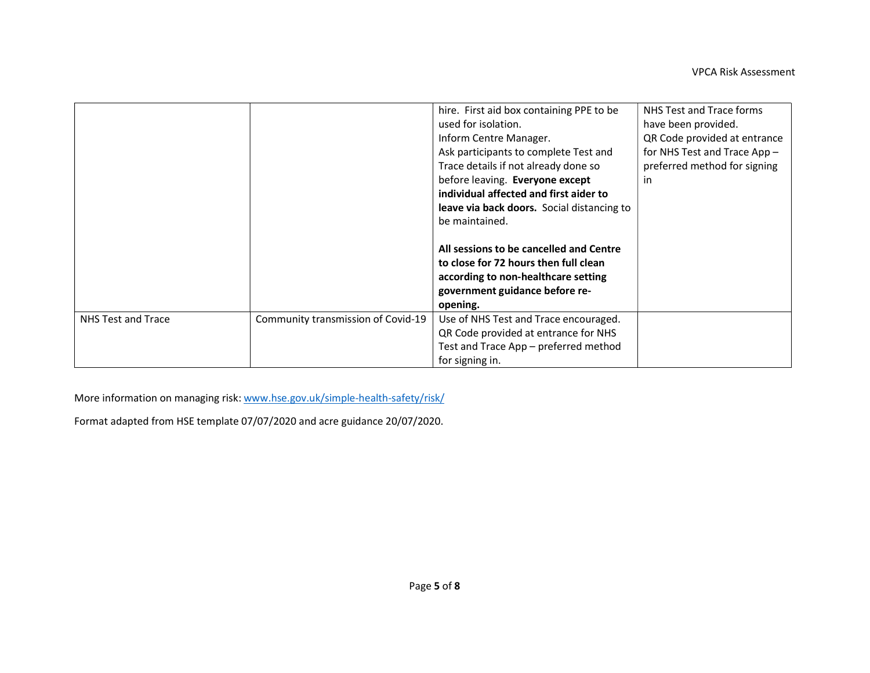|                    |                                    | hire. First aid box containing PPE to be   | NHS Test and Trace forms     |
|--------------------|------------------------------------|--------------------------------------------|------------------------------|
|                    |                                    | used for isolation.                        | have been provided.          |
|                    |                                    | Inform Centre Manager.                     | QR Code provided at entrance |
|                    |                                    | Ask participants to complete Test and      | for NHS Test and Trace App - |
|                    |                                    | Trace details if not already done so       | preferred method for signing |
|                    |                                    | before leaving. Everyone except            | in                           |
|                    |                                    | individual affected and first aider to     |                              |
|                    |                                    | leave via back doors. Social distancing to |                              |
|                    |                                    | be maintained.                             |                              |
|                    |                                    |                                            |                              |
|                    |                                    | All sessions to be cancelled and Centre    |                              |
|                    |                                    | to close for 72 hours then full clean      |                              |
|                    |                                    | according to non-healthcare setting        |                              |
|                    |                                    | government guidance before re-             |                              |
|                    |                                    | opening.                                   |                              |
| NHS Test and Trace | Community transmission of Covid-19 | Use of NHS Test and Trace encouraged.      |                              |
|                    |                                    | QR Code provided at entrance for NHS       |                              |
|                    |                                    | Test and Trace App - preferred method      |                              |
|                    |                                    | for signing in.                            |                              |

More information on managing risk: www.hse.gov.uk/simple-health-safety/risk/

Format adapted from HSE template 07/07/2020 and acre guidance 20/07/2020.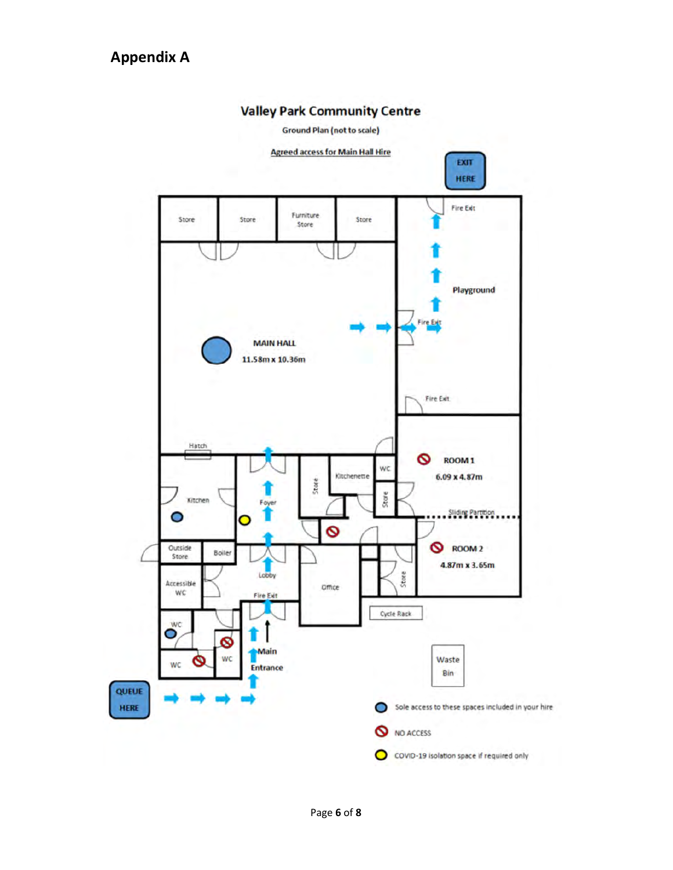

#### Valley Park Community Centre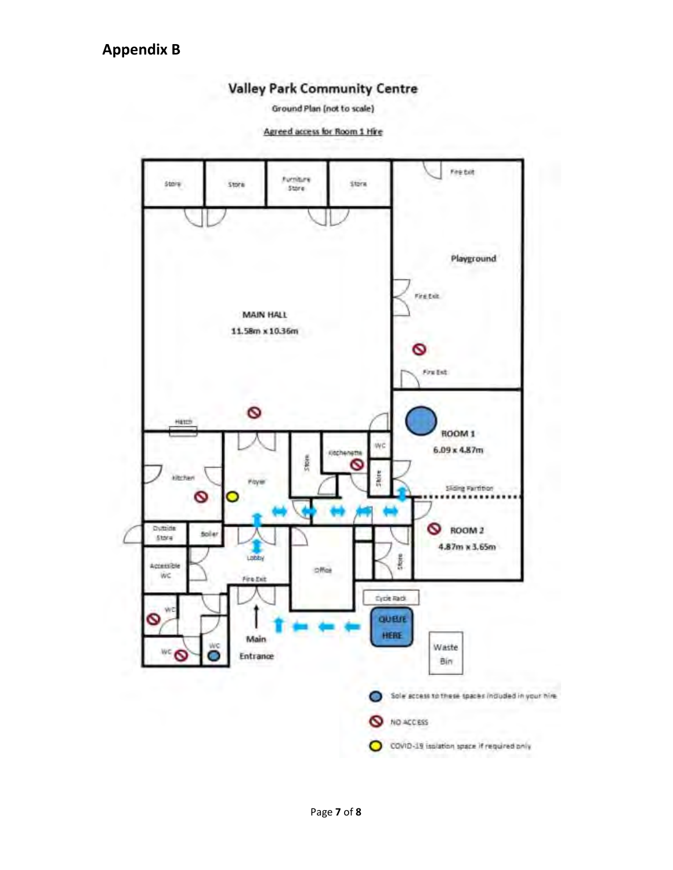### **Valley Park Community Centre**

Ground Plan (not to scale)

Agreed access for Room 1 Hire